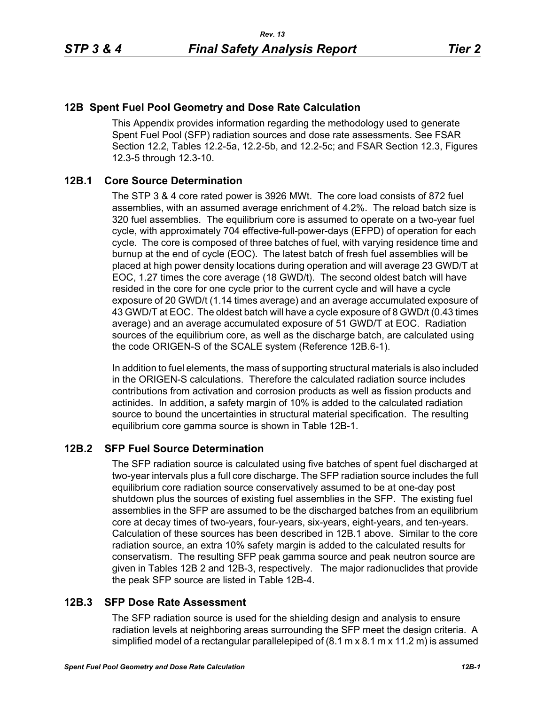## **12B Spent Fuel Pool Geometry and Dose Rate Calculation**

This Appendix provides information regarding the methodology used to generate Spent Fuel Pool (SFP) radiation sources and dose rate assessments. See FSAR Section 12.2, Tables 12.2-5a, 12.2-5b, and 12.2-5c; and FSAR Section 12.3, Figures 12.3-5 through 12.3-10.

### **12B.1 Core Source Determination**

The STP 3 & 4 core rated power is 3926 MWt. The core load consists of 872 fuel assemblies, with an assumed average enrichment of 4.2%. The reload batch size is 320 fuel assemblies. The equilibrium core is assumed to operate on a two-year fuel cycle, with approximately 704 effective-full-power-days (EFPD) of operation for each cycle. The core is composed of three batches of fuel, with varying residence time and burnup at the end of cycle (EOC). The latest batch of fresh fuel assemblies will be placed at high power density locations during operation and will average 23 GWD/T at EOC, 1.27 times the core average (18 GWD/t). The second oldest batch will have resided in the core for one cycle prior to the current cycle and will have a cycle exposure of 20 GWD/t (1.14 times average) and an average accumulated exposure of 43 GWD/T at EOC. The oldest batch will have a cycle exposure of 8 GWD/t (0.43 times average) and an average accumulated exposure of 51 GWD/T at EOC. Radiation sources of the equilibrium core, as well as the discharge batch, are calculated using the code ORIGEN-S of the SCALE system (Reference 12B.6-1).

In addition to fuel elements, the mass of supporting structural materials is also included in the ORIGEN-S calculations. Therefore the calculated radiation source includes contributions from activation and corrosion products as well as fission products and actinides. In addition, a safety margin of 10% is added to the calculated radiation source to bound the uncertainties in structural material specification. The resulting equilibrium core gamma source is shown in Table 12B-1.

# **12B.2 SFP Fuel Source Determination**

The SFP radiation source is calculated using five batches of spent fuel discharged at two-year intervals plus a full core discharge. The SFP radiation source includes the full equilibrium core radiation source conservatively assumed to be at one-day post shutdown plus the sources of existing fuel assemblies in the SFP. The existing fuel assemblies in the SFP are assumed to be the discharged batches from an equilibrium core at decay times of two-years, four-years, six-years, eight-years, and ten-years. Calculation of these sources has been described in 12B.1 above. Similar to the core radiation source, an extra 10% safety margin is added to the calculated results for conservatism. The resulting SFP peak gamma source and peak neutron source are given in Tables 12B 2 and 12B-3, respectively. The major radionuclides that provide the peak SFP source are listed in Table 12B-4.

#### **12B.3 SFP Dose Rate Assessment**

The SFP radiation source is used for the shielding design and analysis to ensure radiation levels at neighboring areas surrounding the SFP meet the design criteria. A simplified model of a rectangular parallelepiped of (8.1 m x 8.1 m x 11.2 m) is assumed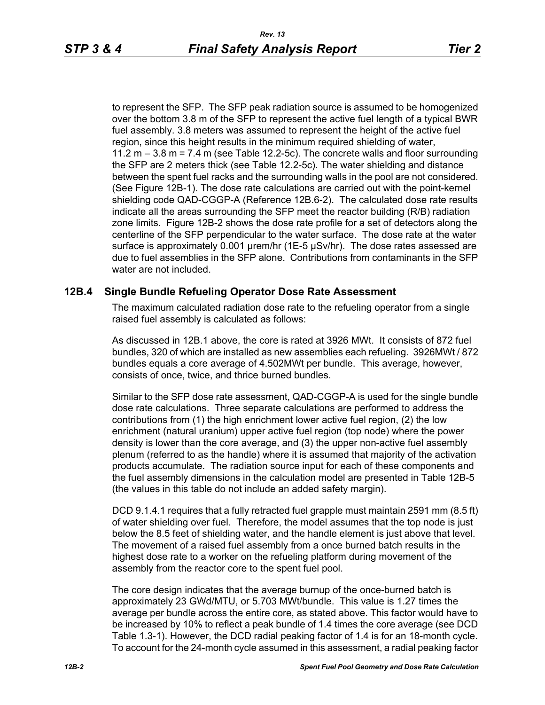to represent the SFP. The SFP peak radiation source is assumed to be homogenized over the bottom 3.8 m of the SFP to represent the active fuel length of a typical BWR fuel assembly. 3.8 meters was assumed to represent the height of the active fuel region, since this height results in the minimum required shielding of water, 11.2  $m - 3.8 m = 7.4 m$  (see Table 12.2-5c). The concrete walls and floor surrounding the SFP are 2 meters thick (see Table 12.2-5c). The water shielding and distance between the spent fuel racks and the surrounding walls in the pool are not considered. (See Figure 12B-1). The dose rate calculations are carried out with the point-kernel shielding code QAD-CGGP-A (Reference 12B.6-2). The calculated dose rate results indicate all the areas surrounding the SFP meet the reactor building (R/B) radiation zone limits. Figure 12B-2 shows the dose rate profile for a set of detectors along the centerline of the SFP perpendicular to the water surface. The dose rate at the water surface is approximately 0.001 urem/hr (1E-5 µSv/hr). The dose rates assessed are due to fuel assemblies in the SFP alone. Contributions from contaminants in the SFP water are not included.

#### **12B.4 Single Bundle Refueling Operator Dose Rate Assessment**

The maximum calculated radiation dose rate to the refueling operator from a single raised fuel assembly is calculated as follows:

As discussed in 12B.1 above, the core is rated at 3926 MWt. It consists of 872 fuel bundles, 320 of which are installed as new assemblies each refueling. 3926MWt / 872 bundles equals a core average of 4.502MWt per bundle. This average, however, consists of once, twice, and thrice burned bundles.

Similar to the SFP dose rate assessment, QAD-CGGP-A is used for the single bundle dose rate calculations. Three separate calculations are performed to address the contributions from (1) the high enrichment lower active fuel region, (2) the low enrichment (natural uranium) upper active fuel region (top node) where the power density is lower than the core average, and (3) the upper non-active fuel assembly plenum (referred to as the handle) where it is assumed that majority of the activation products accumulate. The radiation source input for each of these components and the fuel assembly dimensions in the calculation model are presented in Table 12B-5 (the values in this table do not include an added safety margin).

DCD 9.1.4.1 requires that a fully retracted fuel grapple must maintain 2591 mm (8.5 ft) of water shielding over fuel. Therefore, the model assumes that the top node is just below the 8.5 feet of shielding water, and the handle element is just above that level. The movement of a raised fuel assembly from a once burned batch results in the highest dose rate to a worker on the refueling platform during movement of the assembly from the reactor core to the spent fuel pool.

The core design indicates that the average burnup of the once-burned batch is approximately 23 GWd/MTU, or 5.703 MWt/bundle. This value is 1.27 times the average per bundle across the entire core, as stated above. This factor would have to be increased by 10% to reflect a peak bundle of 1.4 times the core average (see DCD Table 1.3-1). However, the DCD radial peaking factor of 1.4 is for an 18-month cycle. To account for the 24-month cycle assumed in this assessment, a radial peaking factor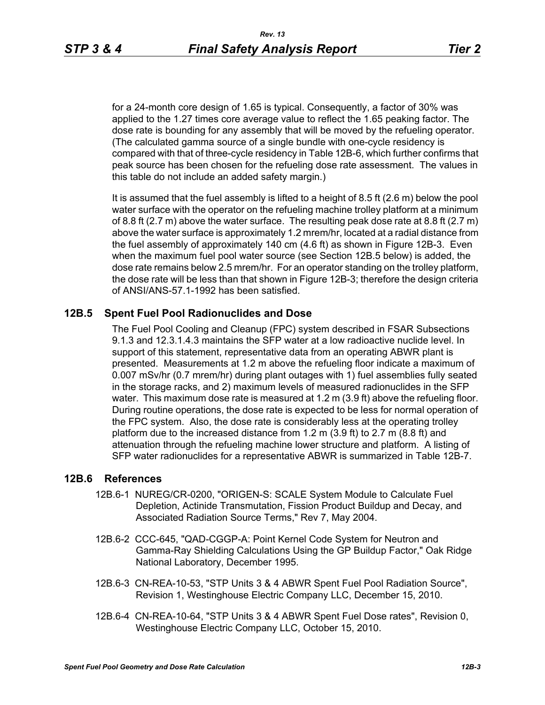for a 24-month core design of 1.65 is typical. Consequently, a factor of 30% was applied to the 1.27 times core average value to reflect the 1.65 peaking factor. The dose rate is bounding for any assembly that will be moved by the refueling operator. (The calculated gamma source of a single bundle with one-cycle residency is compared with that of three-cycle residency in Table 12B-6, which further confirms that peak source has been chosen for the refueling dose rate assessment. The values in this table do not include an added safety margin.)

It is assumed that the fuel assembly is lifted to a height of 8.5 ft (2.6 m) below the pool water surface with the operator on the refueling machine trolley platform at a minimum of 8.8 ft  $(2.7 \text{ m})$  above the water surface. The resulting peak dose rate at 8.8 ft  $(2.7 \text{ m})$ above the water surface is approximately 1.2 mrem/hr, located at a radial distance from the fuel assembly of approximately 140 cm (4.6 ft) as shown in Figure 12B-3. Even when the maximum fuel pool water source (see Section 12B.5 below) is added, the dose rate remains below 2.5 mrem/hr. For an operator standing on the trolley platform, the dose rate will be less than that shown in Figure 12B-3; therefore the design criteria of ANSI/ANS-57.1-1992 has been satisfied.

### **12B.5 Spent Fuel Pool Radionuclides and Dose**

The Fuel Pool Cooling and Cleanup (FPC) system described in FSAR Subsections 9.1.3 and 12.3.1.4.3 maintains the SFP water at a low radioactive nuclide level. In support of this statement, representative data from an operating ABWR plant is presented. Measurements at 1.2 m above the refueling floor indicate a maximum of 0.007 mSv/hr (0.7 mrem/hr) during plant outages with 1) fuel assemblies fully seated in the storage racks, and 2) maximum levels of measured radionuclides in the SFP water. This maximum dose rate is measured at 1.2 m (3.9 ft) above the refueling floor. During routine operations, the dose rate is expected to be less for normal operation of the FPC system. Also, the dose rate is considerably less at the operating trolley platform due to the increased distance from 1.2 m (3.9 ft) to 2.7 m (8.8 ft) and attenuation through the refueling machine lower structure and platform. A listing of SFP water radionuclides for a representative ABWR is summarized in Table 12B-7.

#### **12B.6 References**

- 12B.6-1 NUREG/CR-0200, "ORIGEN-S: SCALE System Module to Calculate Fuel Depletion, Actinide Transmutation, Fission Product Buildup and Decay, and Associated Radiation Source Terms," Rev 7, May 2004.
- 12B.6-2 CCC-645, "QAD-CGGP-A: Point Kernel Code System for Neutron and Gamma-Ray Shielding Calculations Using the GP Buildup Factor," Oak Ridge National Laboratory, December 1995.
- 12B.6-3 CN-REA-10-53, "STP Units 3 & 4 ABWR Spent Fuel Pool Radiation Source", Revision 1, Westinghouse Electric Company LLC, December 15, 2010.
- 12B.6-4 CN-REA-10-64, "STP Units 3 & 4 ABWR Spent Fuel Dose rates", Revision 0, Westinghouse Electric Company LLC, October 15, 2010.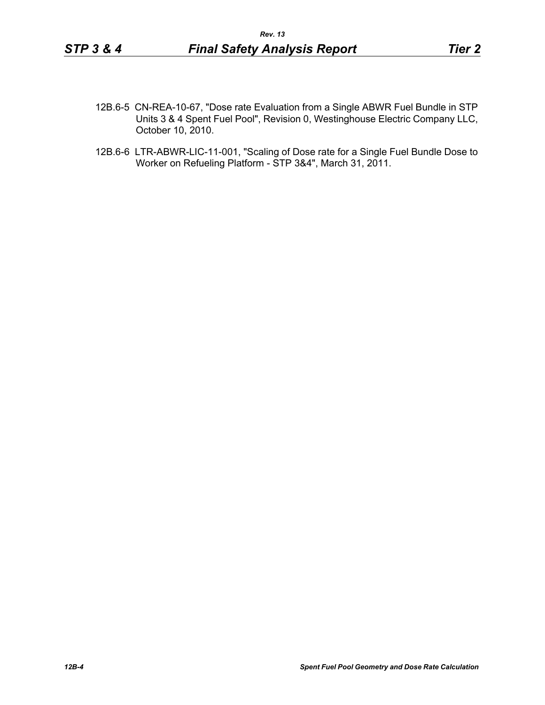- 12B.6-5 CN-REA-10-67, "Dose rate Evaluation from a Single ABWR Fuel Bundle in STP Units 3 & 4 Spent Fuel Pool", Revision 0, Westinghouse Electric Company LLC, October 10, 2010.
- 12B.6-6 LTR-ABWR-LIC-11-001, "Scaling of Dose rate for a Single Fuel Bundle Dose to Worker on Refueling Platform - STP 3&4", March 31, 2011.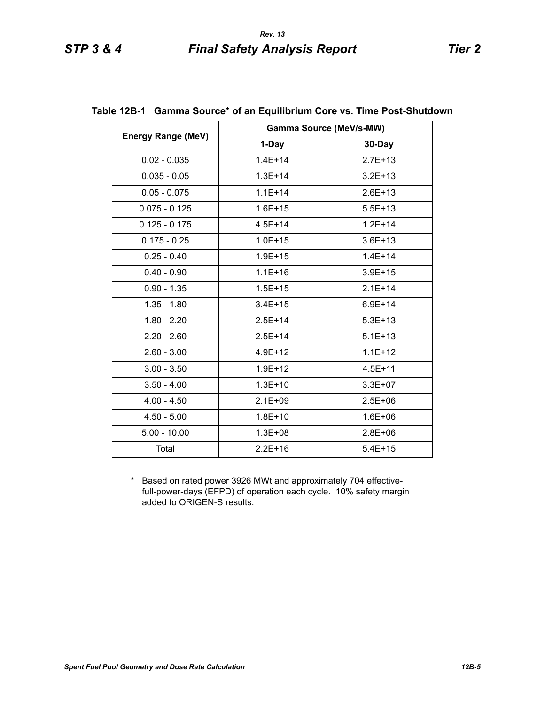|                           | <b>Gamma Source (MeV/s-MW)</b> |             |  |
|---------------------------|--------------------------------|-------------|--|
| <b>Energy Range (MeV)</b> | 1-Day                          | 30-Day      |  |
| $0.02 - 0.035$            | $1.4E + 14$                    | $2.7E+13$   |  |
| $0.035 - 0.05$            | $1.3E + 14$                    | $3.2E + 13$ |  |
| $0.05 - 0.075$            | $1.1E + 14$                    | $2.6E + 13$ |  |
| $0.075 - 0.125$           | $1.6E + 15$                    | $5.5E+13$   |  |
| $0.125 - 0.175$           | $4.5E + 14$                    | $1.2E + 14$ |  |
| $0.175 - 0.25$            | $1.0E + 15$                    | $3.6E + 13$ |  |
| $0.25 - 0.40$             | $1.9E + 15$                    | $1.4E + 14$ |  |
| $0.40 - 0.90$             | $1.1E + 16$                    | $3.9E + 15$ |  |
| $0.90 - 1.35$             | $1.5E + 15$                    | $2.1E+14$   |  |
| $1.35 - 1.80$             | $3.4E + 15$                    | $6.9E + 14$ |  |
| $1.80 - 2.20$             | $2.5E+14$                      | $5.3E+13$   |  |
| $2.20 - 2.60$             | $2.5E + 14$                    | $5.1E + 13$ |  |
| $2.60 - 3.00$             | $4.9E + 12$                    | $1.1E+12$   |  |
| $3.00 - 3.50$             | $1.9E + 12$                    | $4.5E + 11$ |  |
| $3.50 - 4.00$             | $1.3E + 10$                    | $3.3E + 07$ |  |
| $4.00 - 4.50$             | $2.1E + 09$                    | $2.5E + 06$ |  |
| $4.50 - 5.00$             | $1.8E + 10$                    | $1.6E + 06$ |  |
| $5.00 - 10.00$            | $1.3E + 08$                    | $2.8E + 06$ |  |
| Total                     | $2.2E + 16$                    | $5.4E + 15$ |  |

### **Table 12B-1 Gamma Source\* of an Equilibrium Core vs. Time Post-Shutdown**

\* Based on rated power 3926 MWt and approximately 704 effectivefull-power-days (EFPD) of operation each cycle. 10% safety margin added to ORIGEN-S results.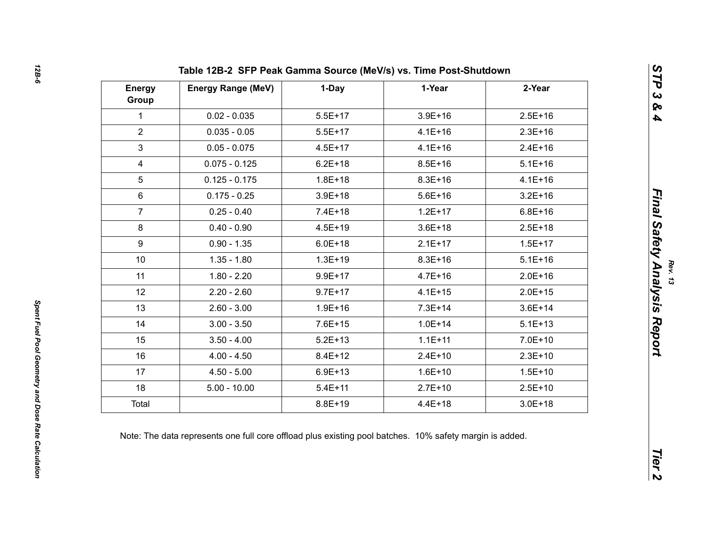| <b>Energy</b><br>Group | <b>Energy Range (MeV)</b>                                                                               | 1-Day       | 1-Year      | 2-Year      |  |
|------------------------|---------------------------------------------------------------------------------------------------------|-------------|-------------|-------------|--|
| 1                      | $0.02 - 0.035$                                                                                          | $5.5E+17$   | $3.9E + 16$ | $2.5E + 16$ |  |
| $\overline{2}$         | $0.035 - 0.05$                                                                                          | $5.5E+17$   | $4.1E + 16$ | $2.3E+16$   |  |
| 3                      | $0.05 - 0.075$                                                                                          | $4.5E + 17$ | $4.1E + 16$ | $2.4E + 16$ |  |
| 4                      | $0.075 - 0.125$                                                                                         | $6.2E + 18$ | $8.5E + 16$ | $5.1E + 16$ |  |
| $5\overline{)}$        | $0.125 - 0.175$                                                                                         | $1.8E + 18$ | $8.3E + 16$ | $4.1E + 16$ |  |
| 6                      | $0.175 - 0.25$                                                                                          | $3.9E + 18$ | $5.6E + 16$ | $3.2E + 16$ |  |
| $\overline{7}$         | $0.25 - 0.40$                                                                                           | $7.4E + 18$ | $1.2E + 17$ | $6.8E + 16$ |  |
| 8                      | $0.40 - 0.90$                                                                                           | $4.5E + 19$ | $3.6E + 18$ | $2.5E+18$   |  |
| 9                      | $0.90 - 1.35$                                                                                           | $6.0E + 18$ | $2.1E+17$   | $1.5E + 17$ |  |
| 10 <sup>°</sup>        | $1.35 - 1.80$                                                                                           | $1.3E + 19$ | $8.3E + 16$ | $5.1E + 16$ |  |
| 11                     | $1.80 - 2.20$                                                                                           | $9.9E + 17$ | $4.7E + 16$ | $2.0E + 16$ |  |
| 12                     | $2.20 - 2.60$                                                                                           | $9.7E + 17$ | $4.1E + 15$ | $2.0E + 15$ |  |
| 13                     | $2.60 - 3.00$                                                                                           | $1.9E + 16$ | $7.3E + 14$ | $3.6E + 14$ |  |
| 14                     | $3.00 - 3.50$                                                                                           | $7.6E + 15$ | $1.0E + 14$ | $5.1E + 13$ |  |
| 15                     | $3.50 - 4.00$                                                                                           | $5.2E + 13$ | $1.1E + 11$ | $7.0E + 10$ |  |
| 16                     | $4.00 - 4.50$                                                                                           | $8.4E + 12$ | $2.4E+10$   | $2.3E+10$   |  |
| 17                     | $4.50 - 5.00$                                                                                           | $6.9E + 13$ | $1.6E + 10$ | $1.5E + 10$ |  |
| 18                     | $5.00 - 10.00$                                                                                          | $5.4E + 11$ | $2.7E+10$   | $2.5E+10$   |  |
| Total                  |                                                                                                         | 8.8E+19     | $4.4E + 18$ | $3.0E + 18$ |  |
|                        | Note: The data represents one full core offload plus existing pool batches. 10% safety margin is added. |             |             |             |  |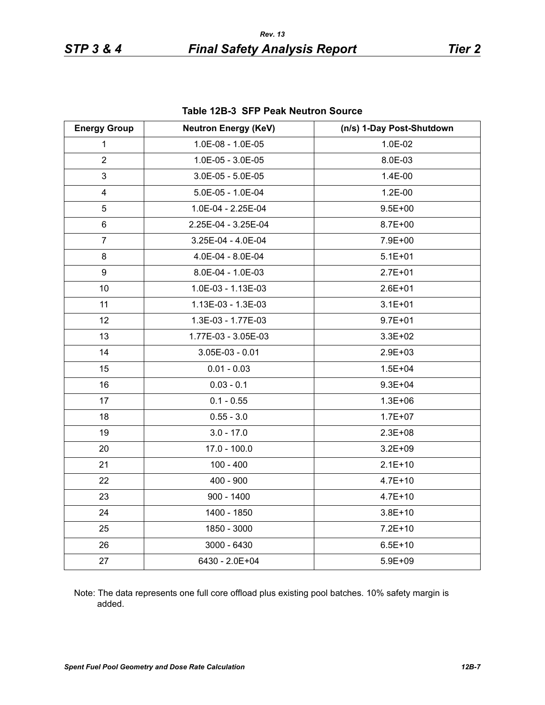| <b>Table 12B-3 SFP Peak Neutron Source</b> |  |
|--------------------------------------------|--|
|--------------------------------------------|--|

| <b>Energy Group</b> | <b>Neutron Energy (KeV)</b> | (n/s) 1-Day Post-Shutdown |
|---------------------|-----------------------------|---------------------------|
| $\mathbf{1}$        | 1.0E-08 - 1.0E-05           | 1.0E-02                   |
| $\overline{2}$      | 1.0E-05 - 3.0E-05           | 8.0E-03                   |
| 3                   | $3.0E-05 - 5.0E-05$         | 1.4E-00                   |
| 4                   | 5.0E-05 - 1.0E-04           | 1.2E-00                   |
| 5                   | 1.0E-04 - 2.25E-04          | $9.5E + 00$               |
| 6                   | 2.25E-04 - 3.25E-04         | $8.7E + 00$               |
| $\overline{7}$      | 3.25E-04 - 4.0E-04          | 7.9E+00                   |
| 8                   | 4.0E-04 - 8.0E-04           | $5.1E + 01$               |
| 9                   | 8.0E-04 - 1.0E-03           | $2.7E + 01$               |
| 10                  | 1.0E-03 - 1.13E-03          | $2.6E + 01$               |
| 11                  | 1.13E-03 - 1.3E-03          | $3.1E + 01$               |
| 12                  | 1.3E-03 - 1.77E-03          | $9.7E + 01$               |
| 13                  | 1.77E-03 - 3.05E-03         | $3.3E + 02$               |
| 14                  | 3.05E-03 - 0.01             | 2.9E+03                   |
| 15                  | $0.01 - 0.03$               | $1.5E + 04$               |
| 16                  | $0.03 - 0.1$                | $9.3E + 04$               |
| 17                  | $0.1 - 0.55$                | $1.3E + 06$               |
| 18                  | $0.55 - 3.0$                | $1.7E + 07$               |
| 19                  | $3.0 - 17.0$                | $2.3E + 08$               |
| 20                  | $17.0 - 100.0$              | $3.2E + 09$               |
| 21                  | $100 - 400$                 | $2.1E+10$                 |
| 22                  | $400 - 900$                 | $4.7E + 10$               |
| 23                  | $900 - 1400$                | $4.7E + 10$               |
| 24                  | 1400 - 1850                 | $3.8E + 10$               |
| 25                  | 1850 - 3000                 | $7.2E + 10$               |
| 26                  | 3000 - 6430                 | $6.5E + 10$               |
| 27                  | 6430 - 2.0E+04              | 5.9E+09                   |

Note: The data represents one full core offload plus existing pool batches. 10% safety margin is added.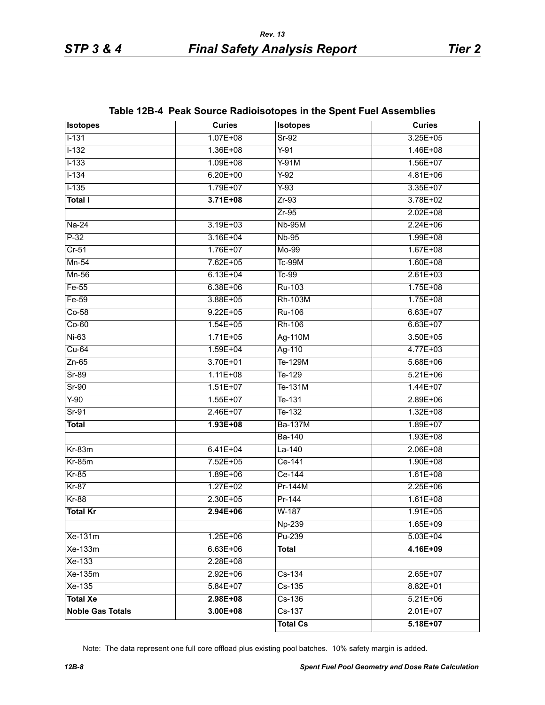| <b>Isotopes</b>         | <b>Curies</b> | <b>Isotopes</b> | <b>Curies</b> |
|-------------------------|---------------|-----------------|---------------|
| $1 - 131$               | $1.07E + 08$  | $Sr-92$         | $3.25E + 05$  |
| $1 - 132$               | $1.36E + 08$  | $Y-91$          | $1.46E + 08$  |
| $1 - 133$               | $1.09E + 08$  | $Y-91M$         | $1.56E+07$    |
| $1 - 134$               | $6.20E + 00$  | $Y-92$          | $4.81E + 06$  |
| $1 - 135$               | 1.79E+07      | $Y-93$          | $3.35E + 07$  |
| <b>Total I</b>          | $3.71E + 08$  | $Zr-93$         | $3.78E + 02$  |
|                         |               | $Zr-95$         | $2.02E + 08$  |
| $Na-24$                 | $3.19E + 03$  | <b>Nb-95M</b>   | $2.24E + 06$  |
| $P-32$                  | $3.16E + 04$  | $Nb-95$         | 1.99E+08      |
| $Cr-51$                 | $1.76E+07$    | Mo-99           | $1.67E + 08$  |
| $Mn-54$                 | 7.62E+05      | <b>Tc-99M</b>   | $1.60E + 08$  |
| Mn-56                   | $6.13E + 04$  | $Tc-99$         | $2.61E + 03$  |
| Fe-55                   | $6.38E + 06$  | Ru-103          | $1.75E + 08$  |
| Fe-59                   | 3.88E+05      | <b>Rh-103M</b>  | $1.75E + 08$  |
| $Co-58$                 | $9.22E + 05$  | <b>Ru-106</b>   | $6.63E+07$    |
| $Co-60$                 | $1.54E + 05$  | Rh-106          | $6.63E + 07$  |
| $Ni-63$                 | $1.71E + 05$  | Ag-110M         | $3.50E + 05$  |
| $Cu-64$                 | $1.59E + 04$  | Ag-110          | $4.77E + 03$  |
| $Zn-65$                 | 3.70E+01      | Te-129M         | $5.68E + 06$  |
| $Sr-89$                 | $1.11E + 08$  | $T_{e-129}$     | $5.21E + 06$  |
| $Sr-90$                 | $1.51E+07$    | Te-131M         | $1.44E+07$    |
| $Y-90$                  | $1.55E+07$    | Te-131          | $2.89E + 06$  |
| $Sr-91$                 | $2.46E+07$    | $T_{e-132}$     | $1.32E + 08$  |
| <b>Total</b>            | $1.93E + 08$  | <b>Ba-137M</b>  | $1.89E+07$    |
|                         |               | <b>Ba-140</b>   | $1.93E + 08$  |
| $Kr-83m$                | $6.41E + 04$  | $La-140$        | $2.06E + 08$  |
| $Kr-85m$                | $7.52E + 05$  | $Ce-141$        | $1.90E + 08$  |
| $Kr-85$                 | 1.89E+06      | Ce-144          | $1.61E + 08$  |
| $Kr-87$                 | $1.27E+02$    | Pr-144M         | $2.25E + 06$  |
| $Kr-88$                 | $2.30E + 05$  | Pr-144          | $1.61E + 08$  |
| <b>Total Kr</b>         | 2.94E+06      | W-187           | $1.91E + 05$  |
|                         |               | Np-239          | 1.65E+09      |
| Xe-131m                 | $1.25E + 06$  | Pu-239          | $5.03E + 04$  |
| Xe-133m                 | $6.63E + 06$  | <b>Total</b>    | 4.16E+09      |
| Xe-133                  | 2.28E+08      |                 |               |
| Xe-135m                 | $2.92E + 06$  | Cs-134          | $2.65E+07$    |
| Xe-135                  | $5.84E+07$    | $Cs-135$        | 8.82E+01      |
| <b>Total Xe</b>         | 2.98E+08      | Cs-136          | $5.21E + 06$  |
| <b>Noble Gas Totals</b> | $3.00E + 08$  | $Cs-137$        | $2.01E+07$    |
|                         |               | <b>Total Cs</b> | $5.18E+07$    |

# **Table 12B-4 Peak Source Radioisotopes in the Spent Fuel Assemblies**

Note: The data represent one full core offload plus existing pool batches. 10% safety margin is added.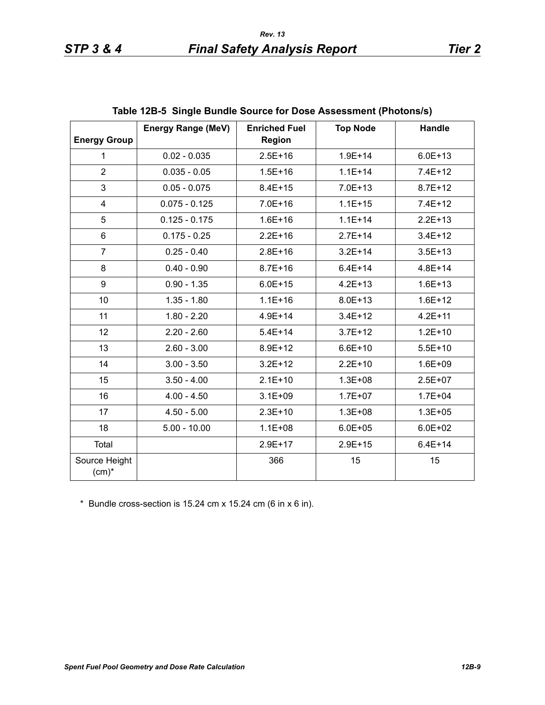| <b>Energy Group</b>       | <b>Energy Range (MeV)</b> | <b>Enriched Fuel</b><br><b>Region</b> | <b>Top Node</b> | Handle      |
|---------------------------|---------------------------|---------------------------------------|-----------------|-------------|
| $\mathbf{1}$              | $0.02 - 0.035$            | $2.5E + 16$                           | $1.9E + 14$     | $6.0E + 13$ |
| $\overline{2}$            | $0.035 - 0.05$            | $1.5E + 16$                           | $1.1E + 14$     | $7.4E+12$   |
| 3                         | $0.05 - 0.075$            | $8.4E + 15$                           | $7.0E + 13$     | $8.7E + 12$ |
| $\overline{\mathbf{4}}$   | $0.075 - 0.125$           | 7.0E+16                               | $1.1E + 15$     | $7.4E+12$   |
| 5                         | $0.125 - 0.175$           | $1.6E + 16$                           | $1.1E + 14$     | $2.2E+13$   |
| 6                         | $0.175 - 0.25$            | $2.2E + 16$                           | $2.7E + 14$     | $3.4E + 12$ |
| $\overline{7}$            | $0.25 - 0.40$             | $2.8E + 16$                           | $3.2E + 14$     | $3.5E + 13$ |
| 8                         | $0.40 - 0.90$             | $8.7E + 16$                           | $6.4E + 14$     | $4.8E + 14$ |
| 9                         | $0.90 - 1.35$             | $6.0E + 15$                           | $4.2E + 13$     | $1.6E + 13$ |
| 10                        | $1.35 - 1.80$             | $1.1E + 16$                           | $8.0E + 13$     | $1.6E + 12$ |
| 11                        | $1.80 - 2.20$             | $4.9E + 14$                           | $3.4E + 12$     | $4.2E + 11$ |
| 12                        | $2.20 - 2.60$             | $5.4E + 14$                           | $3.7E + 12$     | $1.2E + 10$ |
| 13                        | $2.60 - 3.00$             | 8.9E+12                               | $6.6E + 10$     | $5.5E+10$   |
| 14                        | $3.00 - 3.50$             | $3.2E + 12$                           | $2.2E+10$       | $1.6E + 09$ |
| 15                        | $3.50 - 4.00$             | $2.1E+10$                             | $1.3E + 08$     | $2.5E + 07$ |
| 16                        | $4.00 - 4.50$             | $3.1E + 09$                           | $1.7E + 07$     | $1.7E + 04$ |
| 17                        | $4.50 - 5.00$             | $2.3E+10$                             | $1.3E + 08$     | $1.3E + 05$ |
| 18                        | $5.00 - 10.00$            | $1.1E + 08$                           | $6.0E + 05$     | $6.0E + 02$ |
| Total                     |                           | 2.9E+17                               | $2.9E + 15$     | $6.4E + 14$ |
| Source Height<br>$(cm)^*$ |                           | 366                                   | 15              | 15          |

|  | Table 12B-5 Single Bundle Source for Dose Assessment (Photons/s) |  |
|--|------------------------------------------------------------------|--|
|--|------------------------------------------------------------------|--|

\* Bundle cross-section is 15.24 cm x 15.24 cm (6 in x 6 in).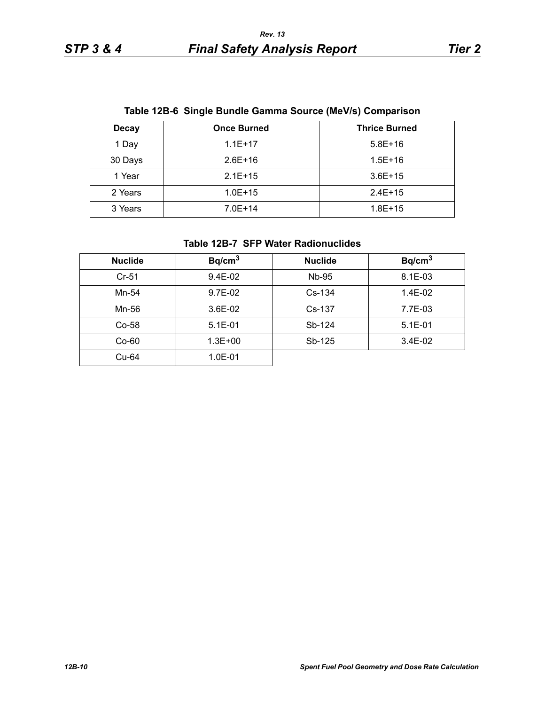|  |  | Table 12B-6 Single Bundle Gamma Source (MeV/s) Comparison |  |  |
|--|--|-----------------------------------------------------------|--|--|
|--|--|-----------------------------------------------------------|--|--|

| <b>Decay</b> | <b>Once Burned</b> | <b>Thrice Burned</b> |
|--------------|--------------------|----------------------|
| 1 Day        | $1.1E + 17$        | $5.8E+16$            |
| 30 Days      | $2.6E+16$          | $1.5E + 16$          |
| 1 Year       | $2.1E+15$          | $3.6E+15$            |
| 2 Years      | $1.0E + 15$        | $2.4E+15$            |
| 3 Years      | $7.0E + 14$        | $1.8E + 15$          |

### **Table 12B-7 SFP Water Radionuclides**

| <b>Nuclide</b> | Bq/cm <sup>3</sup> | <b>Nuclide</b> | Bq/cm <sup>3</sup> |
|----------------|--------------------|----------------|--------------------|
| $Cr-51$        | $9.4E-02$          | Nb-95          | 8.1E-03            |
| Mn-54          | 9.7E-02            | $Cs-134$       | 1.4E-02            |
| Mn-56          | $3.6E-02$          | $Cs-137$       | 7.7E-03            |
| $Co-58$        | $5.1E-01$          | Sb-124         | $5.1E - 01$        |
| $Co-60$        | $1.3E + 00$        | Sb-125         | $3.4E-02$          |
| Cu-64          | 1.0E-01            |                |                    |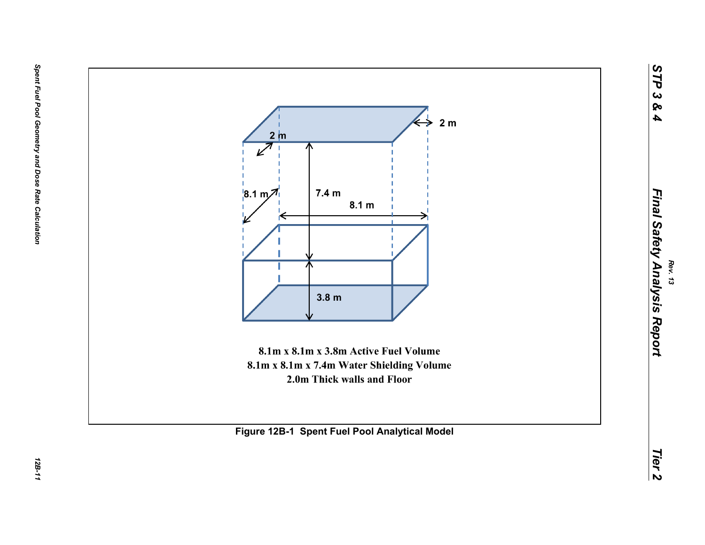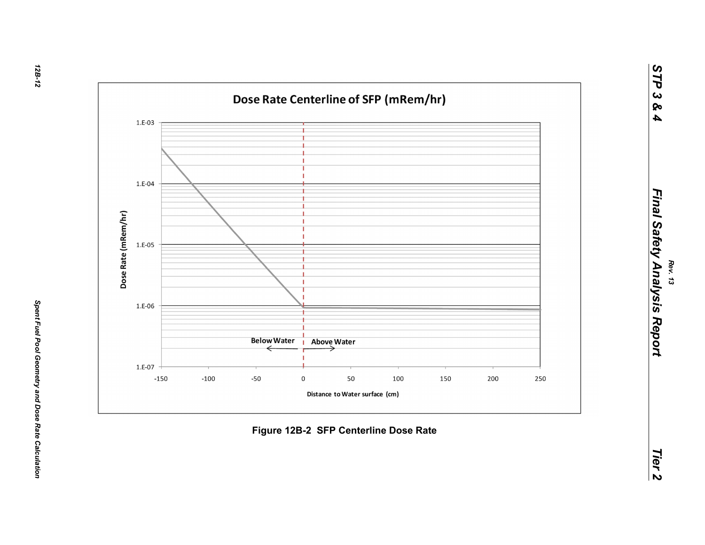